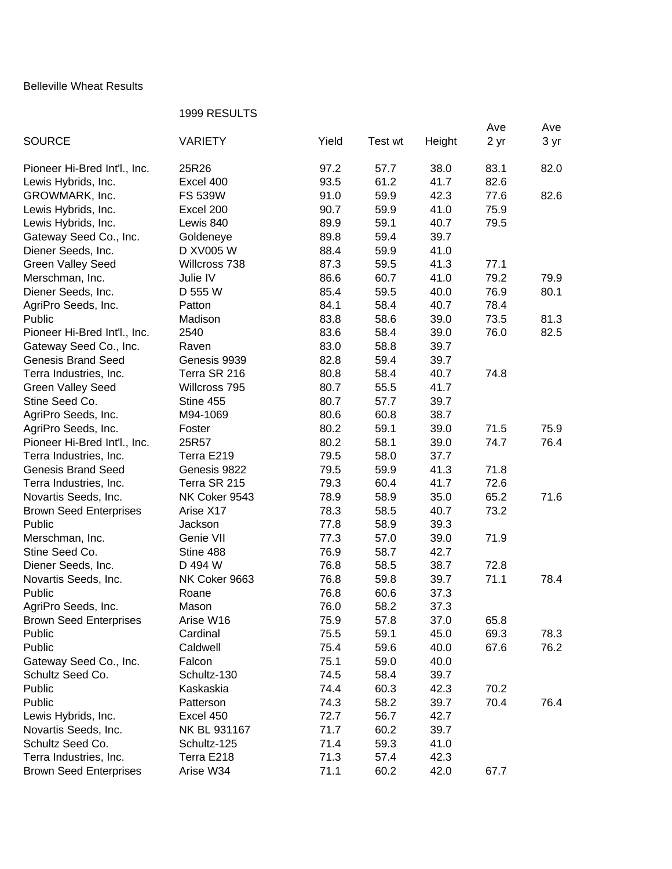## Belleville Wheat Results

## 1999 RESULTS

|                               | <b>ט ושטשוועט</b> ו |       |         |        |      |      |
|-------------------------------|---------------------|-------|---------|--------|------|------|
|                               |                     | Yield |         |        | Ave  | Ave  |
| <b>SOURCE</b>                 | <b>VARIETY</b>      |       | Test wt | Height | 2 yr | 3 yr |
| Pioneer Hi-Bred Int'l., Inc.  | 25R26               | 97.2  | 57.7    | 38.0   | 83.1 | 82.0 |
| Lewis Hybrids, Inc.           | Excel 400           | 93.5  | 61.2    | 41.7   | 82.6 |      |
| GROWMARK, Inc.                | <b>FS 539W</b>      | 91.0  | 59.9    | 42.3   | 77.6 | 82.6 |
| Lewis Hybrids, Inc.           | Excel 200           | 90.7  | 59.9    | 41.0   | 75.9 |      |
| Lewis Hybrids, Inc.           | Lewis 840           | 89.9  | 59.1    | 40.7   | 79.5 |      |
| Gateway Seed Co., Inc.        | Goldeneye           | 89.8  | 59.4    | 39.7   |      |      |
| Diener Seeds, Inc.            | D XV005 W           | 88.4  | 59.9    | 41.0   |      |      |
| <b>Green Valley Seed</b>      | Willcross 738       | 87.3  | 59.5    | 41.3   | 77.1 |      |
| Merschman, Inc.               | Julie IV            | 86.6  | 60.7    | 41.0   | 79.2 | 79.9 |
|                               |                     |       |         |        |      |      |
| Diener Seeds, Inc.            | D 555 W             | 85.4  | 59.5    | 40.0   | 76.9 | 80.1 |
| AgriPro Seeds, Inc.           | Patton              | 84.1  | 58.4    | 40.7   | 78.4 |      |
| Public                        | Madison             | 83.8  | 58.6    | 39.0   | 73.5 | 81.3 |
| Pioneer Hi-Bred Int'l., Inc.  | 2540                | 83.6  | 58.4    | 39.0   | 76.0 | 82.5 |
| Gateway Seed Co., Inc.        | Raven               | 83.0  | 58.8    | 39.7   |      |      |
| <b>Genesis Brand Seed</b>     | Genesis 9939        | 82.8  | 59.4    | 39.7   |      |      |
| Terra Industries, Inc.        | Terra SR 216        | 80.8  | 58.4    | 40.7   | 74.8 |      |
| <b>Green Valley Seed</b>      | Willcross 795       | 80.7  | 55.5    | 41.7   |      |      |
| Stine Seed Co.                | Stine 455           | 80.7  | 57.7    | 39.7   |      |      |
| AgriPro Seeds, Inc.           | M94-1069            | 80.6  | 60.8    | 38.7   |      |      |
| AgriPro Seeds, Inc.           | Foster              | 80.2  | 59.1    | 39.0   | 71.5 | 75.9 |
| Pioneer Hi-Bred Int'l., Inc.  | 25R57               | 80.2  | 58.1    | 39.0   | 74.7 | 76.4 |
| Terra Industries, Inc.        | Terra E219          | 79.5  | 58.0    | 37.7   |      |      |
| <b>Genesis Brand Seed</b>     | Genesis 9822        | 79.5  | 59.9    | 41.3   | 71.8 |      |
| Terra Industries, Inc.        | Terra SR 215        | 79.3  | 60.4    | 41.7   | 72.6 |      |
| Novartis Seeds, Inc.          | NK Coker 9543       | 78.9  | 58.9    | 35.0   | 65.2 | 71.6 |
| <b>Brown Seed Enterprises</b> | Arise X17           | 78.3  | 58.5    | 40.7   | 73.2 |      |
| Public                        | Jackson             | 77.8  | 58.9    | 39.3   |      |      |
| Merschman, Inc.               | Genie VII           | 77.3  | 57.0    | 39.0   | 71.9 |      |
| Stine Seed Co.                | Stine 488           | 76.9  | 58.7    | 42.7   |      |      |
| Diener Seeds, Inc.            | D 494 W             | 76.8  | 58.5    | 38.7   | 72.8 |      |
| Novartis Seeds, Inc.          | NK Coker 9663       | 76.8  | 59.8    | 39.7   | 71.1 | 78.4 |
| Public                        |                     | 76.8  | 60.6    | 37.3   |      |      |
|                               | Roane               |       |         |        |      |      |
| AgriPro Seeds, Inc.           | Mason               | 76.0  | 58.2    | 37.3   |      |      |
| <b>Brown Seed Enterprises</b> | Arise W16           | 75.9  | 57.8    | 37.0   | 65.8 |      |
| Public                        | Cardinal            | 75.5  | 59.1    | 45.0   | 69.3 | 78.3 |
| Public                        | Caldwell            | 75.4  | 59.6    | 40.0   | 67.6 | 76.2 |
| Gateway Seed Co., Inc.        | Falcon              | 75.1  | 59.0    | 40.0   |      |      |
| Schultz Seed Co.              | Schultz-130         | 74.5  | 58.4    | 39.7   |      |      |
| Public                        | Kaskaskia           | 74.4  | 60.3    | 42.3   | 70.2 |      |
| Public                        | Patterson           | 74.3  | 58.2    | 39.7   | 70.4 | 76.4 |
| Lewis Hybrids, Inc.           | Excel 450           | 72.7  | 56.7    | 42.7   |      |      |
| Novartis Seeds, Inc.          | NK BL 931167        | 71.7  | 60.2    | 39.7   |      |      |
| Schultz Seed Co.              | Schultz-125         | 71.4  | 59.3    | 41.0   |      |      |
| Terra Industries, Inc.        | Terra E218          | 71.3  | 57.4    | 42.3   |      |      |
| <b>Brown Seed Enterprises</b> | Arise W34           | 71.1  | 60.2    | 42.0   | 67.7 |      |